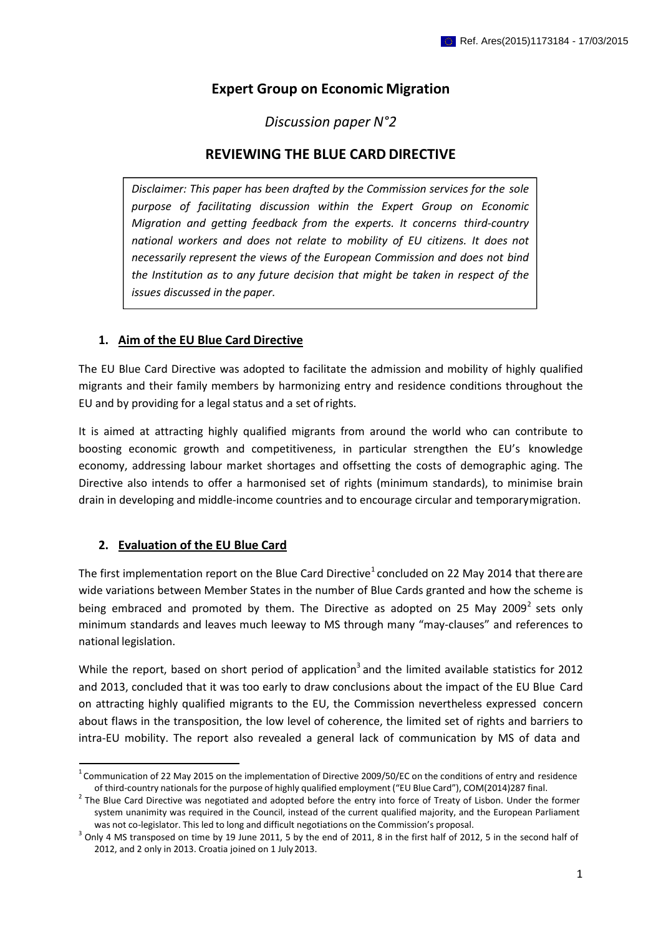# **Expert Group on Economic Migration**

*Discussion paper N°2*

# **REVIEWING THE BLUE CARD DIRECTIVE**

**Disclaimer: This paper has been drafted by the Commission services for the sole** *purpose of facilitating discussion within the Expert Group on Economic Migration and getting feedback from the experts. It concerns third-country national workers and does not relate to mobility of EU citizens. It does not necessarily represent the views of the European Commission and does not bind the Institution as to any future decision that might be taken in respect of the issues discussed in the paper.*

### **1. Aim of the EU Blue Card Directive**

The EU Blue Card Directive was adopted to facilitate the admission and mobility of highly qualified migrants and their family members by harmonizing entry and residence conditions throughout the EU and by providing for a legal status and a set ofrights.

It is aimed at attracting highly qualified migrants from around the world who can contribute to boosting economic growth and competitiveness, in particular strengthen the EU's knowledge economy, addressing labour market shortages and offsetting the costs of demographic aging. The Directive also intends to offer a harmonised set of rights (minimum standards), to minimise brain drain in developing and middle-income countries and to encourage circular and temporarymigration.

## **2. Evaluation of the EU Blue Card**

The first implementation report on the Blue Card Directive<sup>1</sup> concluded on 22 May 2014 that there are wide variations between Member States in the number of Blue Cards granted and how the scheme is being embraced and promoted by them. The Directive as adopted on 25 May 2009<sup>2</sup> sets only minimum standards and leaves much leeway to MS through many "may-clauses" and references to national legislation.

While the report, based on short period of application<sup>3</sup> and the limited available statistics for 2012 and 2013, concluded that it was too early to draw conclusions about the impact of the EU Blue Card on attracting highly qualified migrants to the EU, the Commission nevertheless expressed concern about flaws in the transposition, the low level of coherence, the limited set of rights and barriers to intra-EU mobility. The report also revealed a general lack of communication by MS of data and

 $1$ Communication of 22 May 2015 on the implementation of Directive 2009/50/EC on the conditions of entry and residence of third-country nationalsfor the purpose of highly qualified employment ("EU Blue Card"), COM(2014)287 final.

 $2$  The Blue Card Directive was negotiated and adopted before the entry into force of Treaty of Lisbon. Under the former system unanimity was required in the Council, instead of the current qualified majority, and the European Parliament was not co-legislator. This led to long and difficult negotiations on the Commission's proposal.

 $^3$  Only 4 MS transposed on time by 19 June 2011, 5 by the end of 2011, 8 in the first half of 2012, 5 in the second half of 2012, and 2 only in 2013. Croatia joined on 1 July2013.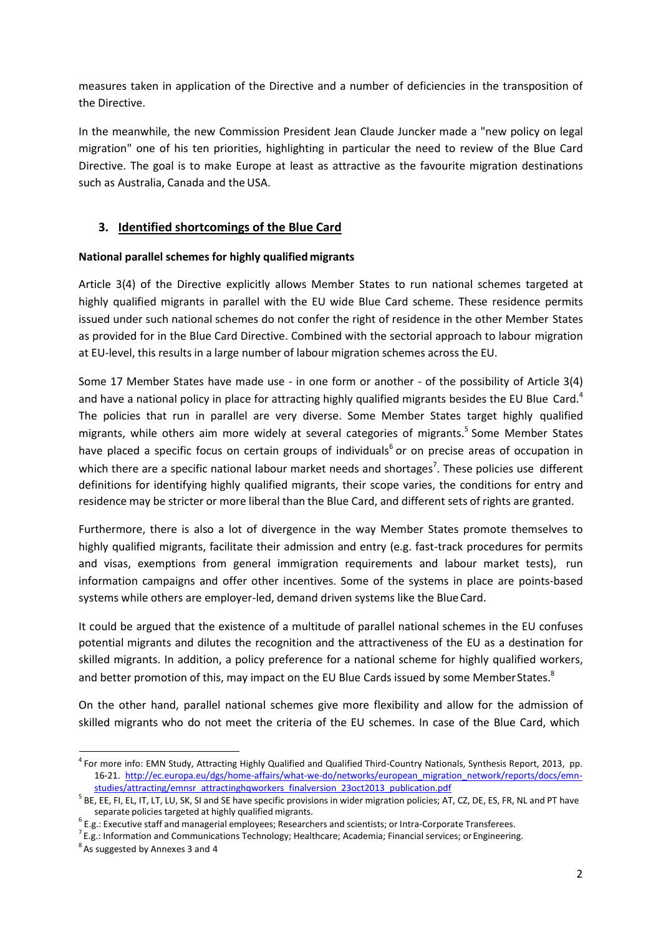measures taken in application of the Directive and a number of deficiencies in the transposition of the Directive.

In the meanwhile, the new Commission President Jean Claude Juncker made a "new policy on legal migration" one of his ten priorities, highlighting in particular the need to review of the Blue Card Directive. The goal is to make Europe at least as attractive as the favourite migration destinations such as Australia, Canada and the USA.

## **3. Identified shortcomings of the Blue Card**

#### **National parallel schemes for highly qualified migrants**

Article 3(4) of the Directive explicitly allows Member States to run national schemes targeted at highly qualified migrants in parallel with the EU wide Blue Card scheme. These residence permits issued under such national schemes do not confer the right of residence in the other Member States as provided for in the Blue Card Directive. Combined with the sectorial approach to labour migration at EU-level, this results in a large number of labour migration schemes across the EU.

Some 17 Member States have made use - in one form or another - of the possibility of Article 3(4) and have a national policy in place for attracting highly qualified migrants besides the EU Blue Card.<sup>4</sup> The policies that run in parallel are very diverse. Some Member States target highly qualified migrants, while others aim more widely at several categories of migrants.<sup>5</sup> Some Member States have placed a specific focus on certain groups of individuals<sup>6</sup> or on precise areas of occupation in which there are a specific national labour market needs and shortages<sup>7</sup>. These policies use different definitions for identifying highly qualified migrants, their scope varies, the conditions for entry and residence may be stricter or more liberal than the Blue Card, and different sets of rights are granted.

Furthermore, there is also a lot of divergence in the way Member States promote themselves to highly qualified migrants, facilitate their admission and entry (e.g. fast-track procedures for permits and visas, exemptions from general immigration requirements and labour market tests), run information campaigns and offer other incentives. Some of the systems in place are points-based systems while others are employer-led, demand driven systems like the BlueCard.

It could be argued that the existence of a multitude of parallel national schemes in the EU confuses potential migrants and dilutes the recognition and the attractiveness of the EU as a destination for skilled migrants. In addition, a policy preference for a national scheme for highly qualified workers, and better promotion of this, may impact on the EU Blue Cards issued by some Member States.<sup>8</sup>

On the other hand, parallel national schemes give more flexibility and allow for the admission of skilled migrants who do not meet the criteria of the EU schemes. In case of the Blue Card, which

<sup>4</sup>For more info: EMN Study, Attracting Highly Qualified and Qualified Third-Country Nationals, Synthesis Report, 2013, pp. 16-21. [http://ec.europa.eu/dgs/home-affairs/what-we-do/networks/european\\_migration\\_network/reports/docs/emn](http://ec.europa.eu/dgs/home-affairs/what-we-do/networks/european_migration_network/reports/docs/emn-)studies/attracting/emnsr\_attractinghqworkers\_finalversion\_23oct2013\_publication.pdf

<sup>&</sup>lt;sup>5</sup> BE, EE, FI, EL, IT, LT, LU, SK, SI and SE have specific provisions in wider migration policies; AT, CZ, DE, ES, FR, NL and PT have separate policies targeted at highly qualified migrants.

 $^6$  E.g.: Executive staff and managerial employees; Researchers and scientists; or Intra-Corporate Transferees.

 $^7$  E.g.: Information and Communications Technology; Healthcare; Academia; Financial services; or Engineering.

 $8<sup>8</sup>$  As suggested by Annexes 3 and 4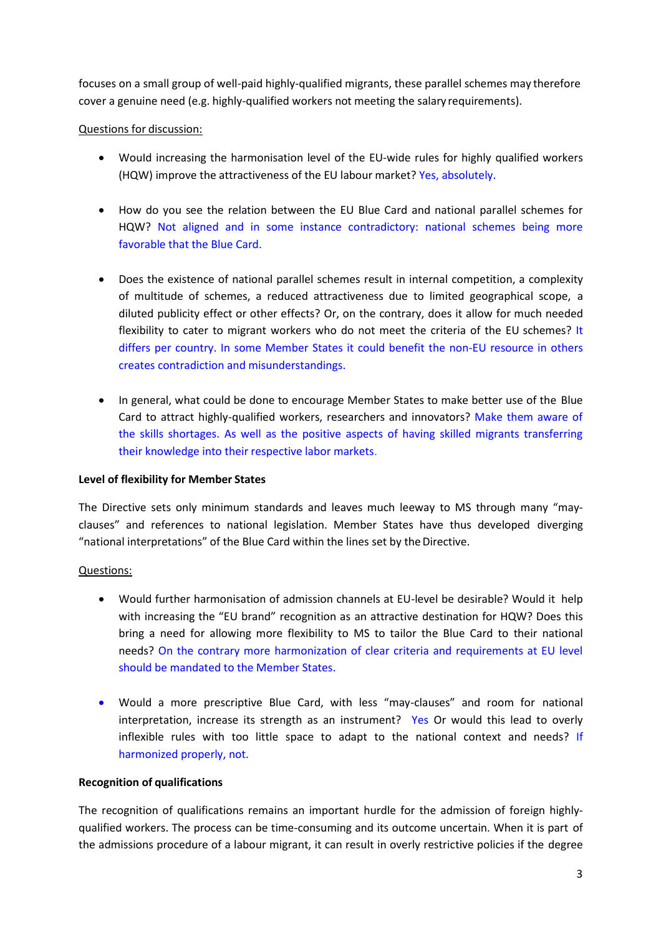focuses on a small group of well-paid highly-qualified migrants, these parallel schemes may therefore cover a genuine need (e.g. highly-qualified workers not meeting the salary requirements).

### Questions for discussion:

- WouId increasing the harmonisation level of the EU-wide rules for highly qualified workers (HQW) improve the attractiveness of the EU labour market? Yes, absolutely.
- How do you see the relation between the EU Blue Card and national parallel schemes for HQW? Not aligned and in some instance contradictory: national schemes being more favorable that the Blue Card.
- Does the existence of national parallel schemes result in internal competition, a complexity of multitude of schemes, a reduced attractiveness due to limited geographical scope, a diluted publicity effect or other effects? Or, on the contrary, does it allow for much needed flexibility to cater to migrant workers who do not meet the criteria of the EU schemes? It differs per country. In some Member States it could benefit the non-EU resource in others creates contradiction and misunderstandings.
- In general, what could be done to encourage Member States to make better use of the Blue Card to attract highly-qualified workers, researchers and innovators? Make them aware of the skills shortages. As well as the positive aspects of having skilled migrants transferring their knowledge into their respective labor markets.

### **Level of flexibility for Member States**

The Directive sets only minimum standards and leaves much leeway to MS through many "mayclauses" and references to national legislation. Member States have thus developed diverging "national interpretations" of the Blue Card within the lines set by the Directive.

## Questions:

- Would further harmonisation of admission channels at EU-level be desirable? Would it help with increasing the "EU brand" recognition as an attractive destination for HQW? Does this bring a need for allowing more flexibility to MS to tailor the Blue Card to their national needs? On the contrary more harmonization of clear criteria and requirements at EU level should be mandated to the Member States.
- Would a more prescriptive Blue Card, with less "may-clauses" and room for national interpretation, increase its strength as an instrument? Yes Or would this lead to overly inflexible rules with too little space to adapt to the national context and needs? If harmonized properly, not.

### **Recognition of qualifications**

The recognition of qualifications remains an important hurdle for the admission of foreign highlyqualified workers. The process can be time-consuming and its outcome uncertain. When it is part of the admissions procedure of a labour migrant, it can result in overly restrictive policies if the degree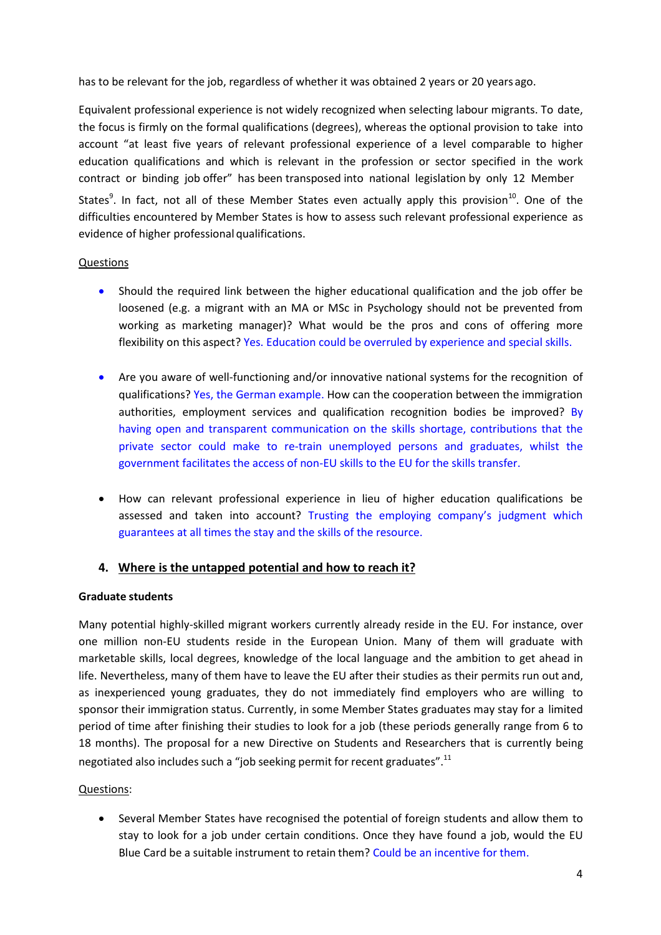has to be relevant for the job, regardless of whether it was obtained 2 years or 20 years ago.

Equivalent professional experience is not widely recognized when selecting labour migrants. To date, the focus is firmly on the formal qualifications (degrees), whereas the optional provision to take into account "at least five years of relevant professional experience of a level comparable to higher education qualifications and which is relevant in the profession or sector specified in the work contract or binding job offer" has been transposed into national legislation by only 12 Member States<sup>9</sup>. In fact, not all of these Member States even actually apply this provision<sup>10</sup>. One of the difficulties encountered by Member States is how to assess such relevant professional experience as

#### Questions

evidence of higher professional qualifications.

- Should the required link between the higher educational qualification and the job offer be loosened (e.g. a migrant with an MA or MSc in Psychology should not be prevented from working as marketing manager)? What would be the pros and cons of offering more flexibility on this aspect? Yes. Education could be overruled by experience and special skills.
- Are you aware of well-functioning and/or innovative national systems for the recognition of qualifications? Yes, the German example. How can the cooperation between the immigration authorities, employment services and qualification recognition bodies be improved? By having open and transparent communication on the skills shortage, contributions that the private sector could make to re-train unemployed persons and graduates, whilst the government facilitates the access of non-EU skills to the EU for the skills transfer.
- How can relevant professional experience in lieu of higher education qualifications be assessed and taken into account? Trusting the employing company's judgment which guarantees at all times the stay and the skills of the resource.

### **4. Where is the untapped potential and how to reach it?**

#### **Graduate students**

Many potential highly-skilled migrant workers currently already reside in the EU. For instance, over one million non-EU students reside in the European Union. Many of them will graduate with marketable skills, local degrees, knowledge of the local language and the ambition to get ahead in life. Nevertheless, many of them have to leave the EU after their studies as their permits run out and, as inexperienced young graduates, they do not immediately find employers who are willing to sponsor their immigration status. Currently, in some Member States graduates may stay for a limited period of time after finishing their studies to look for a job (these periods generally range from 6 to 18 months). The proposal for a new Directive on Students and Researchers that is currently being negotiated also includes such a "job seeking permit for recent graduates".<sup>11</sup>

### Questions:

 Several Member States have recognised the potential of foreign students and allow them to stay to look for a job under certain conditions. Once they have found a job, would the EU Blue Card be a suitable instrument to retain them? Could be an incentive for them.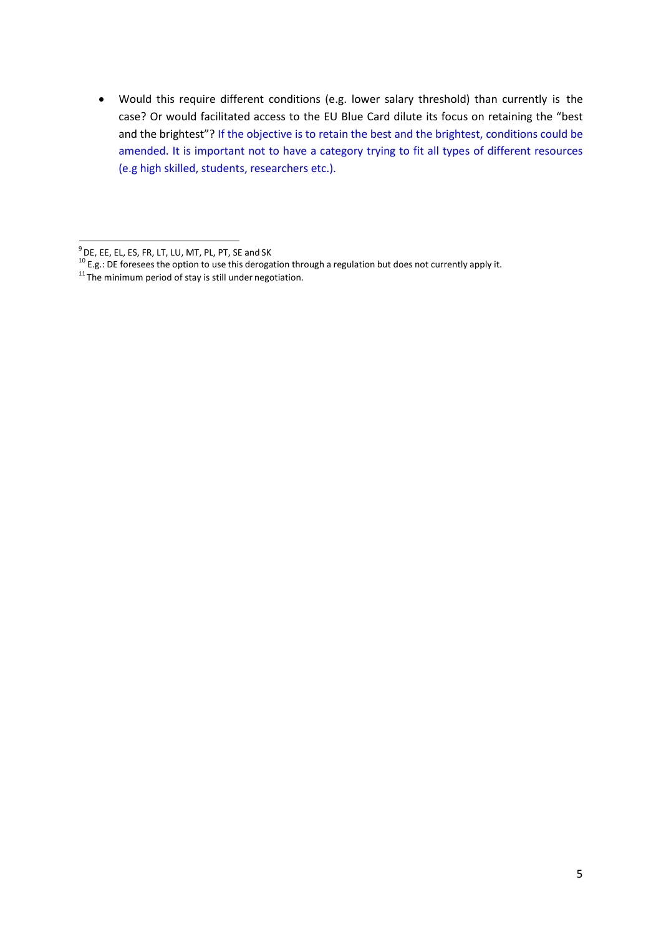Would this require different conditions (e.g. lower salary threshold) than currently is the case? Or would facilitated access to the EU Blue Card dilute its focus on retaining the "best and the brightest"? If the objective is to retain the best and the brightest, conditions could be amended. It is important not to have a category trying to fit all types of different resources (e.g high skilled, students, researchers etc.).

 $^{9}$  DE, EE, EL, ES, FR, LT, LU, MT, PL, PT, SE and SK

<sup>&</sup>lt;sup>10</sup> E.g.: DE foresees the option to use this derogation through a regulation but does not currently apply it.

 $11$ The minimum period of stay is still under negotiation.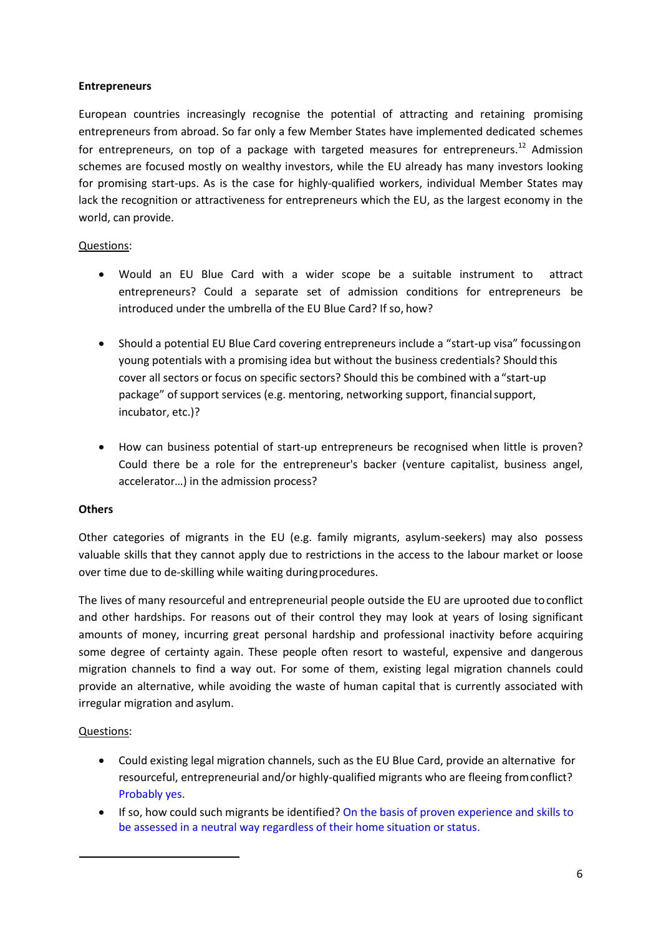### **Entrepreneurs**

European countries increasingly recognise the potential of attracting and retaining promising entrepreneurs from abroad. So far only a few Member States have implemented dedicated schemes for entrepreneurs, on top of a package with targeted measures for entrepreneurs.<sup>12</sup> Admission schemes are focused mostly on wealthy investors, while the EU already has many investors looking for promising start-ups. As is the case for highly-qualified workers, individual Member States may lack the recognition or attractiveness for entrepreneurs which the EU, as the largest economy in the world, can provide.

#### Questions:

- Would an EU Blue Card with a wider scope be a suitable instrument to attract entrepreneurs? Could a separate set of admission conditions for entrepreneurs be introduced under the umbrella of the EU Blue Card? If so, how?
- Should a potential EU Blue Card covering entrepreneurs include a "start-up visa" focussingon young potentials with a promising idea but without the business credentials? Should this cover all sectors or focus on specific sectors? Should this be combined with a "start-up package" of support services (e.g. mentoring, networking support, financialsupport, incubator, etc.)?
- How can business potential of start-up entrepreneurs be recognised when little is proven? Could there be a role for the entrepreneur's backer (venture capitalist, business angel, accelerator…) in the admission process?

#### **Others**

Other categories of migrants in the EU (e.g. family migrants, asylum-seekers) may also possess valuable skills that they cannot apply due to restrictions in the access to the labour market or loose over time due to de-skilling while waiting duringprocedures.

The lives of many resourceful and entrepreneurial people outside the EU are uprooted due toconflict and other hardships. For reasons out of their control they may look at years of losing significant amounts of money, incurring great personal hardship and professional inactivity before acquiring some degree of certainty again. These people often resort to wasteful, expensive and dangerous migration channels to find a way out. For some of them, existing legal migration channels could provide an alternative, while avoiding the waste of human capital that is currently associated with irregular migration and asylum.

### Questions:

- Could existing legal migration channels, such as the EU Blue Card, provide an alternative for resourceful, entrepreneurial and/or highly-qualified migrants who are fleeing fromconflict? Probably yes.
- If so, how could such migrants be identified? On the basis of proven experience and skills to be assessed in a neutral way regardless of their home situation or status.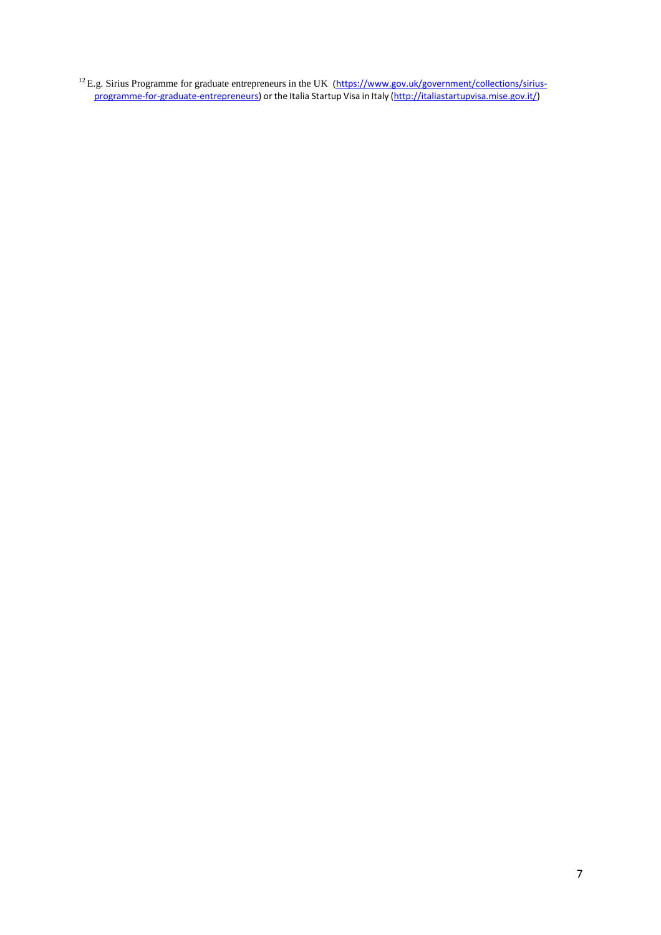<sup>12</sup> E.g. Sirius Programme for graduate entrepreneurs in the UK (https[://www.gov.uk/government/collections/sirius](http://www.gov.uk/government/collections/sirius-)programme-for-graduate-entrepreneurs) or the Italia Startup Visa in Italy [\(http://italiastartupvisa.mise.gov.it/\)](http://italiastartupvisa.mise.gov.it/))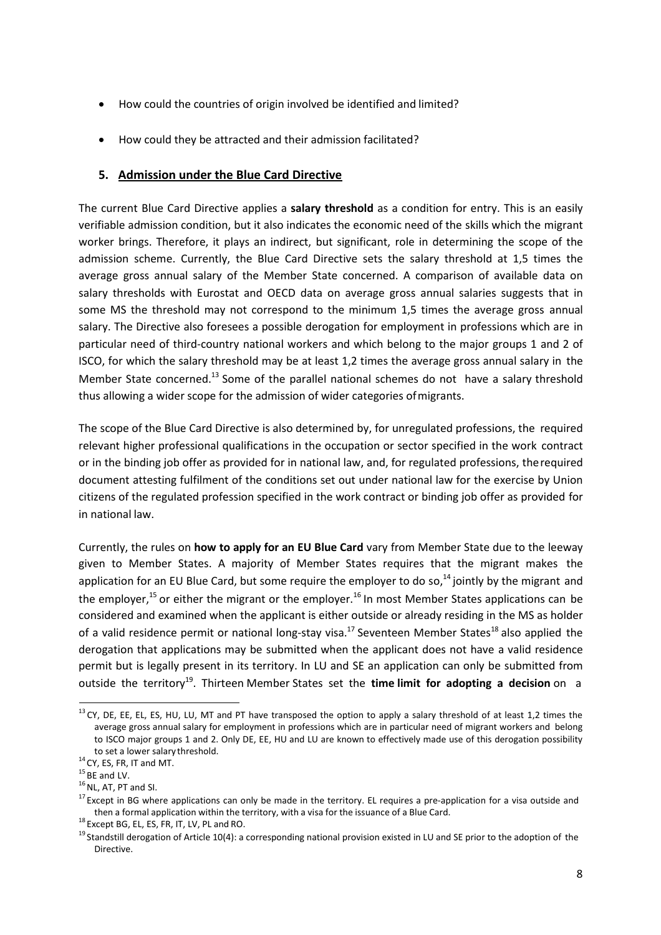- How could the countries of origin involved be identified and limited?
- How could they be attracted and their admission facilitated?

### **5. Admission under the Blue Card Directive**

The current Blue Card Directive applies a **salary threshold** as a condition for entry. This is an easily verifiable admission condition, but it also indicates the economic need of the skills which the migrant worker brings. Therefore, it plays an indirect, but significant, role in determining the scope of the admission scheme. Currently, the Blue Card Directive sets the salary threshold at 1,5 times the average gross annual salary of the Member State concerned. A comparison of available data on salary thresholds with Eurostat and OECD data on average gross annual salaries suggests that in some MS the threshold may not correspond to the minimum 1,5 times the average gross annual salary. The Directive also foresees a possible derogation for employment in professions which are in particular need of third-country national workers and which belong to the major groups 1 and 2 of ISCO, for which the salary threshold may be at least 1,2 times the average gross annual salary in the Member State concerned.<sup>13</sup> Some of the parallel national schemes do not have a salary threshold thus allowing a wider scope for the admission of wider categories ofmigrants.

The scope of the Blue Card Directive is also determined by, for unregulated professions, the required relevant higher professional qualifications in the occupation or sector specified in the work contract or in the binding job offer as provided for in national law, and, for regulated professions, therequired document attesting fulfilment of the conditions set out under national law for the exercise by Union citizens of the regulated profession specified in the work contract or binding job offer as provided for in national law.

Currently, the rules on **how to apply for an EU Blue Card** vary from Member State due to the leeway given to Member States. A majority of Member States requires that the migrant makes the application for an EU Blue Card, but some require the employer to do so,<sup>14</sup> jointly by the migrant and the employer,<sup>15</sup> or either the migrant or the employer.<sup>16</sup> In most Member States applications can be considered and examined when the applicant is either outside or already residing in the MS as holder of a valid residence permit or national long-stay visa.<sup>17</sup> Seventeen Member States<sup>18</sup> also applied the derogation that applications may be submitted when the applicant does not have a valid residence permit but is legally present in its territory. In LU and SE an application can only be submitted from outside the territory<sup>19</sup>. Thirteen Member States set the **time limit for adopting a decision** on a

 $13$  CY, DE, EE, EL, ES, HU, LU, MT and PT have transposed the option to apply a salary threshold of at least 1,2 times the average gross annual salary for employment in professions which are in particular need of migrant workers and belong to ISCO major groups 1 and 2. Only DE, EE, HU and LU are known to effectively made use of this derogation possibility to set a lower salary threshold.

 $14$  CY, ES, FR, IT and MT.

 $15$  BE and LV.

 $16$  NL, AT, PT and SI.

 $17$  Except in BG where applications can only be made in the territory. EL requires a pre-application for a visa outside and then a formal application within the territory, with a visa for the issuance of a Blue Card.

<sup>18</sup> Except BG, EL, ES, FR, IT, LV, PL and RO.

<sup>&</sup>lt;sup>19</sup> Standstill derogation of Article 10(4): a corresponding national provision existed in LU and SE prior to the adoption of the Directive.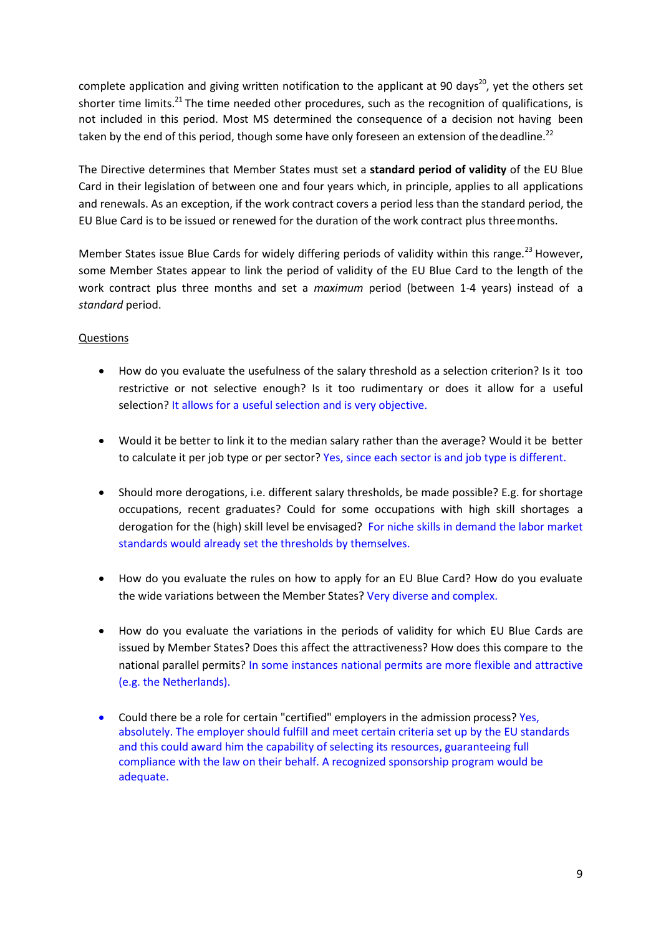complete application and giving written notification to the applicant at 90 days<sup>20</sup>, yet the others set shorter time limits.<sup>21</sup> The time needed other procedures, such as the recognition of qualifications, is not included in this period. Most MS determined the consequence of a decision not having been taken by the end of this period, though some have only foreseen an extension of the deadline.<sup>22</sup>

The Directive determines that Member States must set a **standard period of validity** of the EU Blue Card in their legislation of between one and four years which, in principle, applies to all applications and renewals. As an exception, if the work contract covers a period less than the standard period, the EU Blue Card is to be issued or renewed for the duration of the work contract plus threemonths.

Member States issue Blue Cards for widely differing periods of validity within this range.<sup>23</sup> However, some Member States appear to link the period of validity of the EU Blue Card to the length of the work contract plus three months and set a *maximum* period (between 1-4 years) instead of a *standard* period.

### Questions

- How do you evaluate the usefulness of the salary threshold as a selection criterion? Is it too restrictive or not selective enough? Is it too rudimentary or does it allow for a useful selection? It allows for a useful selection and is very objective.
- Would it be better to link it to the median salary rather than the average? Would it be better to calculate it per job type or persector? Yes, since each sector is and job type is different.
- Should more derogations, i.e. different salary thresholds, be made possible? E.g. for shortage occupations, recent graduates? Could for some occupations with high skill shortages a derogation for the (high) skill level be envisaged? For niche skills in demand the labor market standards would already set the thresholds by themselves.
- How do you evaluate the rules on how to apply for an EU Blue Card? How do you evaluate the wide variations between the Member States? Very diverse and complex.
- How do you evaluate the variations in the periods of validity for which EU Blue Cards are issued by Member States? Does this affect the attractiveness? How does this compare to the national parallel permits? In some instances national permits are more flexible and attractive (e.g. the Netherlands).
- Could there be a role for certain "certified" employers in the admission process? Yes, absolutely. The employer should fulfill and meet certain criteria set up by the EU standards and this could award him the capability of selecting its resources, guaranteeing full compliance with the law on their behalf. A recognized sponsorship program would be adequate.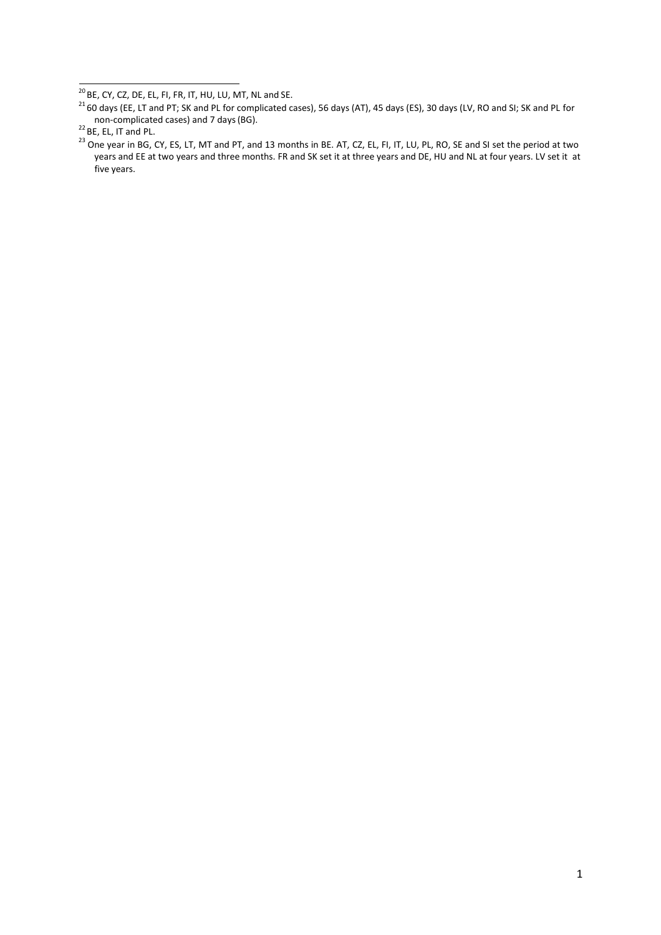$\overline{^{20}$  BE, CY, CZ, DE, EL, FI, FR, IT, HU, LU, MT, NL and SE.

 $^{21}$  60 days (EE, LT and PT; SK and PL for complicated cases), 56 days (AT), 45 days (ES), 30 days (LV, RO and SI; SK and PL for non-complicated cases) and 7 days(BG).

 $^{22}$  BE, EL, IT and PL.

<sup>&</sup>lt;sup>23</sup> One year in BG, CY, ES, LT, MT and PT, and 13 months in BE. AT, CZ, EL, FI, IT, LU, PL, RO, SE and SI set the period at two years and EE at two years and three months. FR and SK set it at three years and DE, HU and NL at four years. LV set it at five years.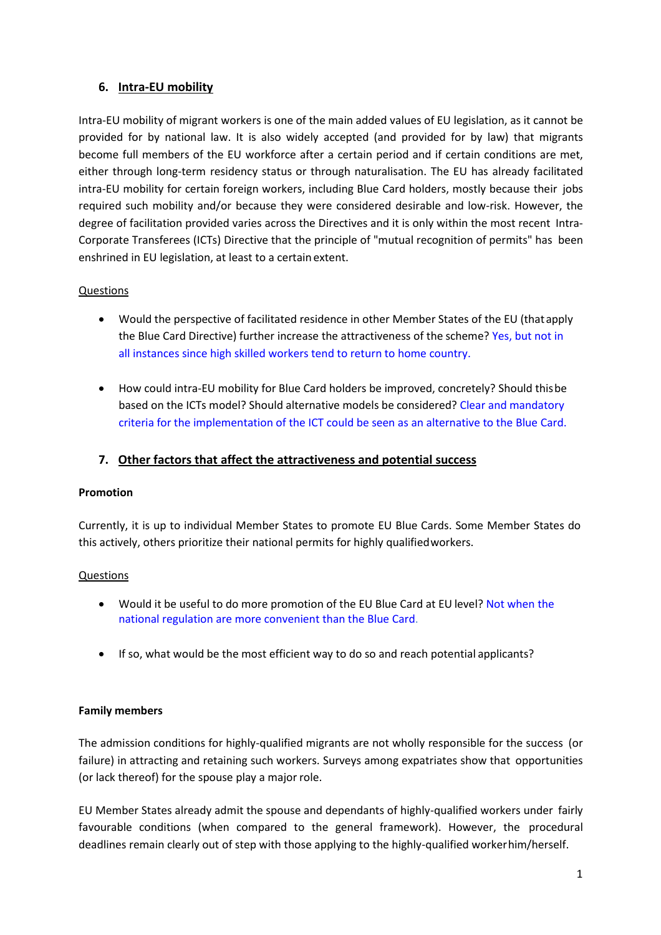# **6. Intra-EU mobility**

Intra-EU mobility of migrant workers is one of the main added values of EU legislation, as it cannot be provided for by national law. It is also widely accepted (and provided for by law) that migrants become full members of the EU workforce after a certain period and if certain conditions are met, either through long-term residency status or through naturalisation. The EU has already facilitated intra-EU mobility for certain foreign workers, including Blue Card holders, mostly because their jobs required such mobility and/or because they were considered desirable and low-risk. However, the degree of facilitation provided varies across the Directives and it is only within the most recent Intra-Corporate Transferees (ICTs) Directive that the principle of "mutual recognition of permits" has been enshrined in EU legislation, at least to a certain extent.

## Questions

- Would the perspective of facilitated residence in other Member States of the EU (thatapply the Blue Card Directive) further increase the attractiveness of the scheme? Yes, but not in all instances since high skilled workers tend to return to home country.
- How could intra-EU mobility for Blue Card holders be improved, concretely? Should thisbe based on the ICTs model? Should alternative models be considered? Clear and mandatory criteria for the implementation of the ICT could be seen as an alternative to the Blue Card.

### **7. Other factors that affect the attractiveness and potential success**

#### **Promotion**

Currently, it is up to individual Member States to promote EU Blue Cards. Some Member States do this actively, others prioritize their national permits for highly qualifiedworkers.

### Questions

- Would it be useful to do more promotion of the EU Blue Card at EU level? Not when the national regulation are more convenient than the Blue Card.
- If so, what would be the most efficient way to do so and reach potential applicants?

### **Family members**

The admission conditions for highly-qualified migrants are not wholly responsible for the success (or failure) in attracting and retaining such workers. Surveys among expatriates show that opportunities (or lack thereof) for the spouse play a major role.

EU Member States already admit the spouse and dependants of highly-qualified workers under fairly favourable conditions (when compared to the general framework). However, the procedural deadlines remain clearly out of step with those applying to the highly-qualified workerhim/herself.